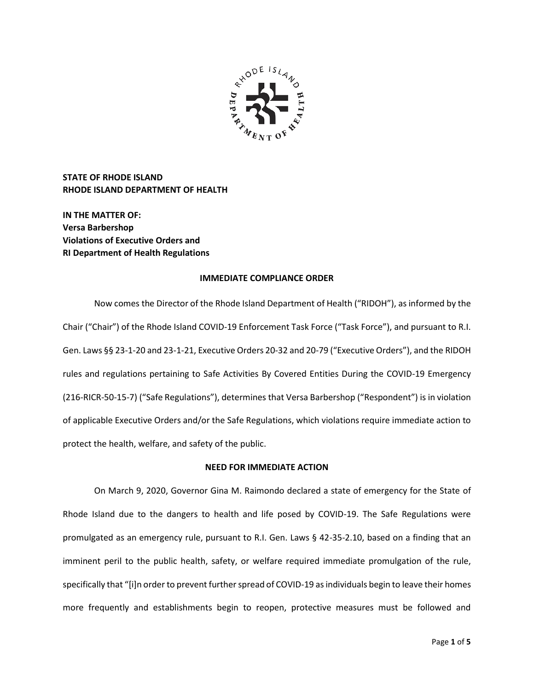

**STATE OF RHODE ISLAND RHODE ISLAND DEPARTMENT OF HEALTH**

**IN THE MATTER OF: Versa Barbershop Violations of Executive Orders and RI Department of Health Regulations**

### **IMMEDIATE COMPLIANCE ORDER**

Now comes the Director of the Rhode Island Department of Health ("RIDOH"), as informed by the Chair ("Chair") of the Rhode Island COVID-19 Enforcement Task Force ("Task Force"), and pursuant to R.I. Gen. Laws §§ 23-1-20 and 23-1-21, Executive Orders 20-32 and 20-79 ("Executive Orders"), and the RIDOH rules and regulations pertaining to Safe Activities By Covered Entities During the COVID-19 Emergency (216-RICR-50-15-7) ("Safe Regulations"), determines that Versa Barbershop ("Respondent") is in violation of applicable Executive Orders and/or the Safe Regulations, which violations require immediate action to protect the health, welfare, and safety of the public.

# **NEED FOR IMMEDIATE ACTION**

On March 9, 2020, Governor Gina M. Raimondo declared a state of emergency for the State of Rhode Island due to the dangers to health and life posed by COVID-19. The Safe Regulations were promulgated as an emergency rule, pursuant to R.I. Gen. Laws § 42-35-2.10, based on a finding that an imminent peril to the public health, safety, or welfare required immediate promulgation of the rule, specifically that "[i]n order to prevent further spread of COVID-19 as individuals begin to leave their homes more frequently and establishments begin to reopen, protective measures must be followed and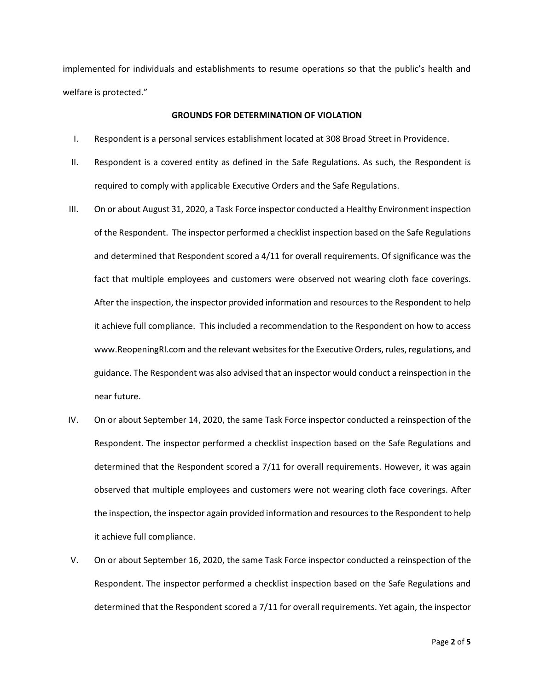implemented for individuals and establishments to resume operations so that the public's health and welfare is protected."

# **GROUNDS FOR DETERMINATION OF VIOLATION**

- I. Respondent is a personal services establishment located at 308 Broad Street in Providence.
- II. Respondent is a covered entity as defined in the Safe Regulations. As such, the Respondent is required to comply with applicable Executive Orders and the Safe Regulations.
- III. On or about August 31, 2020, a Task Force inspector conducted a Healthy Environment inspection of the Respondent. The inspector performed a checklist inspection based on the Safe Regulations and determined that Respondent scored a 4/11 for overall requirements. Of significance was the fact that multiple employees and customers were observed not wearing cloth face coverings. After the inspection, the inspector provided information and resources to the Respondent to help it achieve full compliance. This included a recommendation to the Respondent on how to access www.ReopeningRI.com and the relevant websites for the Executive Orders, rules, regulations, and guidance. The Respondent was also advised that an inspector would conduct a reinspection in the near future.
- IV. On or about September 14, 2020, the same Task Force inspector conducted a reinspection of the Respondent. The inspector performed a checklist inspection based on the Safe Regulations and determined that the Respondent scored a 7/11 for overall requirements. However, it was again observed that multiple employees and customers were not wearing cloth face coverings. After the inspection, the inspector again provided information and resources to the Respondent to help it achieve full compliance.
- V. On or about September 16, 2020, the same Task Force inspector conducted a reinspection of the Respondent. The inspector performed a checklist inspection based on the Safe Regulations and determined that the Respondent scored a 7/11 for overall requirements. Yet again, the inspector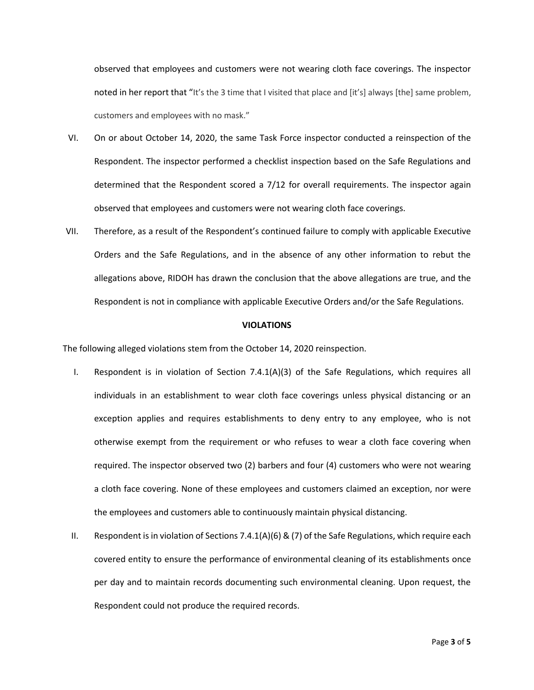observed that employees and customers were not wearing cloth face coverings. The inspector noted in her report that "It's the 3 time that I visited that place and [it's] always [the] same problem, customers and employees with no mask."

- VI. On or about October 14, 2020, the same Task Force inspector conducted a reinspection of the Respondent. The inspector performed a checklist inspection based on the Safe Regulations and determined that the Respondent scored a 7/12 for overall requirements. The inspector again observed that employees and customers were not wearing cloth face coverings.
- VII. Therefore, as a result of the Respondent's continued failure to comply with applicable Executive Orders and the Safe Regulations, and in the absence of any other information to rebut the allegations above, RIDOH has drawn the conclusion that the above allegations are true, and the Respondent is not in compliance with applicable Executive Orders and/or the Safe Regulations.

#### **VIOLATIONS**

The following alleged violations stem from the October 14, 2020 reinspection.

- I. Respondent is in violation of Section 7.4.1(A)(3) of the Safe Regulations, which requires all individuals in an establishment to wear cloth face coverings unless physical distancing or an exception applies and requires establishments to deny entry to any employee, who is not otherwise exempt from the requirement or who refuses to wear a cloth face covering when required. The inspector observed two (2) barbers and four (4) customers who were not wearing a cloth face covering. None of these employees and customers claimed an exception, nor were the employees and customers able to continuously maintain physical distancing.
- II. Respondent is in violation of Sections 7.4.1(A)(6) & (7) of the Safe Regulations, which require each covered entity to ensure the performance of environmental cleaning of its establishments once per day and to maintain records documenting such environmental cleaning. Upon request, the Respondent could not produce the required records.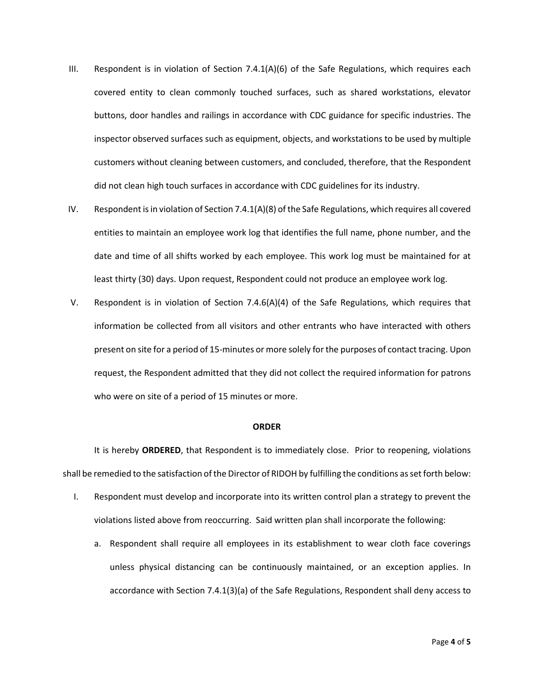- III. Respondent is in violation of Section  $7.4.1(A)(6)$  of the Safe Regulations, which requires each covered entity to clean commonly touched surfaces, such as shared workstations, elevator buttons, door handles and railings in accordance with CDC guidance for specific industries. The inspector observed surfaces such as equipment, objects, and workstations to be used by multiple customers without cleaning between customers, and concluded, therefore, that the Respondent did not clean high touch surfaces in accordance with CDC guidelines for its industry.
- IV. Respondent is in violation of Section 7.4.1(A)(8) of the Safe Regulations, which requires all covered entities to maintain an employee work log that identifies the full name, phone number, and the date and time of all shifts worked by each employee. This work log must be maintained for at least thirty (30) days. Upon request, Respondent could not produce an employee work log.
- V. Respondent is in violation of Section 7.4.6(A)(4) of the Safe Regulations, which requires that information be collected from all visitors and other entrants who have interacted with others present on site for a period of 15-minutes or more solely for the purposes of contact tracing. Upon request, the Respondent admitted that they did not collect the required information for patrons who were on site of a period of 15 minutes or more.

#### **ORDER**

It is hereby **ORDERED**, that Respondent is to immediately close. Prior to reopening, violations shall be remedied to the satisfaction of the Director of RIDOH by fulfilling the conditions as set forth below:

- I. Respondent must develop and incorporate into its written control plan a strategy to prevent the violations listed above from reoccurring. Said written plan shall incorporate the following:
	- a. Respondent shall require all employees in its establishment to wear cloth face coverings unless physical distancing can be continuously maintained, or an exception applies. In accordance with Section 7.4.1(3)(a) of the Safe Regulations, Respondent shall deny access to